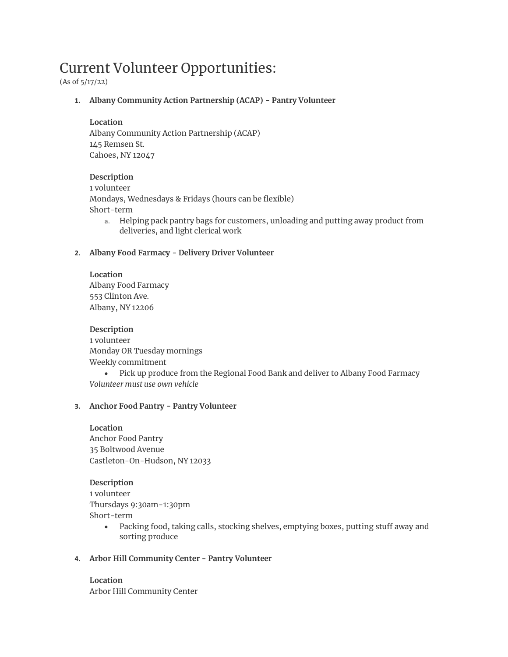# Current Volunteer Opportunities:

(As of 5/17/22)

**1. Albany Community Action Partnership (ACAP) - Pantry Volunteer**

# **Location**

Albany Community Action Partnership (ACAP) 145 Remsen St. Cahoes, NY 12047

# **Description**

1 volunteer Mondays, Wednesdays & Fridays (hours can be flexible) Short-term

a. Helping pack pantry bags for customers, unloading and putting away product from deliveries, and light clerical work

# **2. Albany Food Farmacy - Delivery Driver Volunteer**

**Location** Albany Food Farmacy 553 Clinton Ave. Albany, NY 12206

**Description** 1 volunteer Monday OR Tuesday mornings Weekly commitment

• Pick up produce from the Regional Food Bank and deliver to Albany Food Farmacy *Volunteer must use own vehicle* 

# **3. Anchor Food Pantry - Pantry Volunteer**

**Location** Anchor Food Pantry 35 Boltwood Avenue Castleton-On-Hudson, NY 12033

# **Description**

1 volunteer Thursdays 9:30am-1:30pm Short-term

- Packing food, taking calls, stocking shelves, emptying boxes, putting stuff away and sorting produce
- **4. Arbor Hill Community Center - Pantry Volunteer**

**Location** Arbor Hill Community Center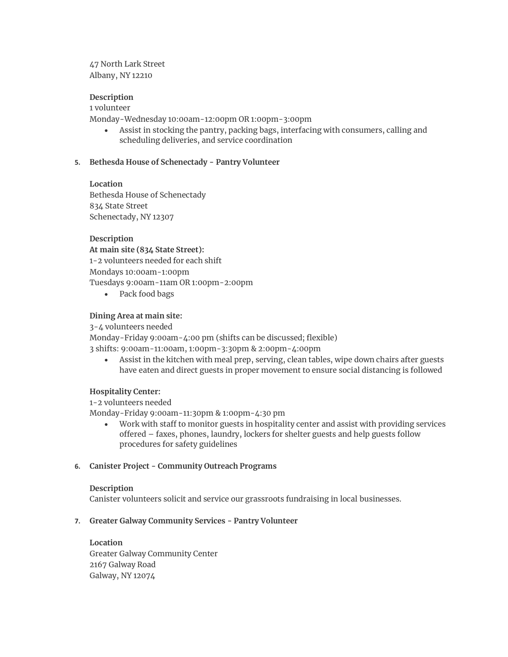47 North Lark Street Albany, NY 12210

# **Description**

# 1 volunteer

Monday-Wednesday 10:00am-12:00pm OR 1:00pm-3:00pm

• Assist in stocking the pantry, packing bags, interfacing with consumers, calling and scheduling deliveries, and service coordination

## **5. Bethesda House of Schenectady - Pantry Volunteer**

## **Location**

Bethesda House of Schenectady 834 State Street Schenectady, NY 12307

## **Description**

## **At main site (834 State Street):**

1-2 volunteers needed for each shift

Mondays 10:00am-1:00pm Tuesdays 9:00am-11am OR 1:00pm-2:00pm

• Pack food bags

## **Dining Area at main site:**

3-4 volunteers needed

Monday-Friday 9:00am-4:00 pm (shifts can be discussed; flexible)

3 shifts: 9:00am-11:00am, 1:00pm-3:30pm & 2:00pm-4:00pm

• Assist in the kitchen with meal prep, serving, clean tables, wipe down chairs after guests have eaten and direct guests in proper movement to ensure social distancing is followed

## **Hospitality Center:**

1-2 volunteers needed Monday-Friday 9:00am-11:30pm & 1:00pm-4:30 pm

• Work with staff to monitor guests in hospitality center and assist with providing services offered – faxes, phones, laundry, lockers for shelter guests and help guests follow procedures for safety guidelines

## **6. Canister Project - Community Outreach Programs**

## **Description**

Canister volunteers solicit and service our grassroots fundraising in local businesses.

## **7. Greater Galway Community Services - Pantry Volunteer**

**Location** Greater Galway Community Center 2167 Galway Road Galway, NY 12074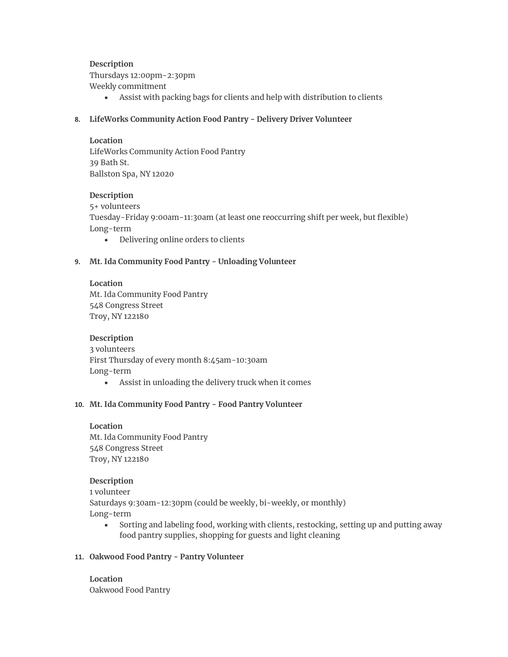**Description** Thursdays 12:00pm-2:30pm Weekly commitment

- Assist with packing bags for clients and help with distribution to clients
- **8. LifeWorks Community Action Food Pantry - Delivery Driver Volunteer**

## **Location**

LifeWorks Community Action Food Pantry 39 Bath St. Ballston Spa, NY 12020

# **Description**

5+ volunteers Tuesday-Friday 9:00am-11:30am (at least one reoccurring shift per week, but flexible) Long-term

• Delivering online orders to clients

# **9. Mt. Ida Community Food Pantry - Unloading Volunteer**

**Location** Mt. Ida Community Food Pantry 548 Congress Street Troy, NY 122180

**Description** 3 volunteers First Thursday of every month 8:45am-10:30am Long-term

• Assist in unloading the delivery truck when it comes

# **10. Mt. Ida Community Food Pantry - Food Pantry Volunteer**

**Location** Mt. Ida Community Food Pantry 548 Congress Street Troy, NY 122180

## **Description**

1 volunteer Saturdays 9:30am-12:30pm (could be weekly, bi-weekly, or monthly) Long-term

• Sorting and labeling food, working with clients, restocking, setting up and putting away food pantry supplies, shopping for guests and light cleaning

# **11. Oakwood Food Pantry - Pantry Volunteer**

**Location** Oakwood Food Pantry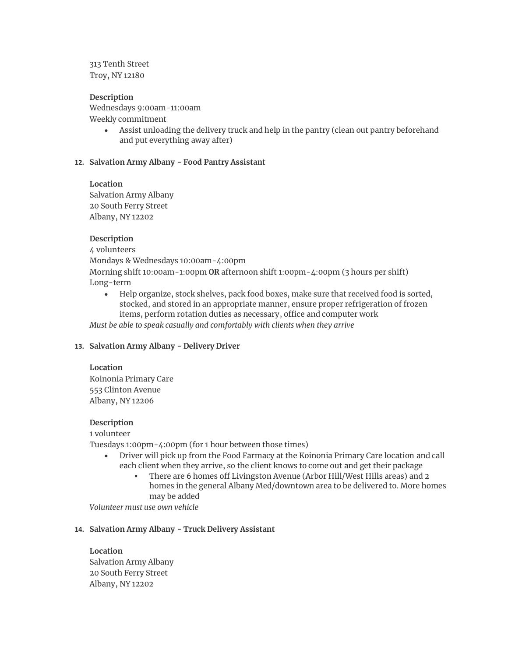313 Tenth Street Troy, NY 12180

## **Description**

Wednesdays 9:00am-11:00am Weekly commitment

Assist unloading the delivery truck and help in the pantry (clean out pantry beforehand and put everything away after)

## **12. Salvation Army Albany - Food Pantry Assistant**

#### **Location**

Salvation Army Albany 20 South Ferry Street Albany, NY 12202

## **Description**

4 volunteers

Mondays & Wednesdays 10:00am-4:00pm

Morning shift 10:00am-1:00pm **OR** afternoon shift 1:00pm-4:00pm (3 hours per shift) Long-term

• Help organize, stock shelves, pack food boxes, make sure that received food is sorted, stocked, and stored in an appropriate manner, ensure proper refrigeration of frozen items, perform rotation duties as necessary, office and computer work

*Must be able to speak casually and comfortably with clients when they arrive*

## **13. Salvation Army Albany - Delivery Driver**

#### **Location**

Koinonia Primary Care 553 Clinton Avenue Albany, NY 12206

## **Description**

1 volunteer

Tuesdays 1:00pm-4:00pm (for 1 hour between those times)

- Driver will pick up from the Food Farmacy at the Koinonia Primary Care location and call each client when they arrive, so the client knows to come out and get their package
	- There are 6 homes off Livingston Avenue (Arbor Hill/West Hills areas) and 2 homes in the general Albany Med/downtown area to be delivered to. More homes may be added

*Volunteer must use own vehicle*

# **14. Salvation Army Albany - Truck Delivery Assistant**

**Location** Salvation Army Albany 20 South Ferry Street Albany, NY 12202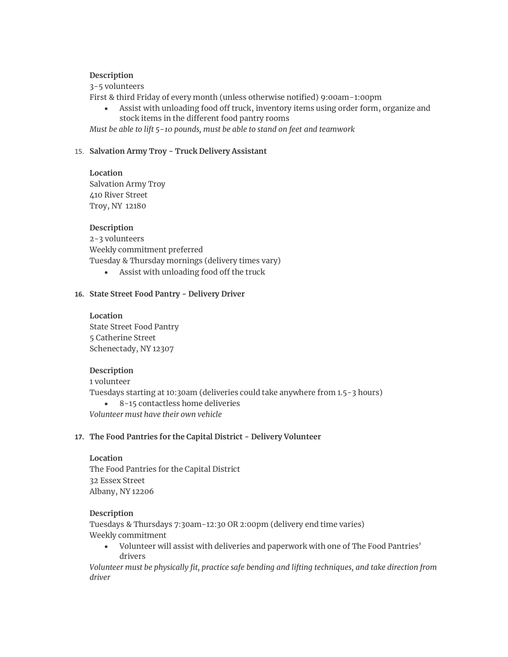## **Description**

3-5 volunteers

First & third Friday of every month (unless otherwise notified) 9:00am-1:00pm

• Assist with unloading food off truck, inventory items using order form, organize and stock items in the different food pantry rooms

*Must be able to lift 5-10 pounds, must be able to stand on feet and teamwork*

## 15. **Salvation Army Troy - Truck Delivery Assistant**

**Location** Salvation Army Troy 410 River Street Troy, NY 12180

## **Description**

2-3 volunteers Weekly commitment preferred Tuesday & Thursday mornings (delivery times vary)

• Assist with unloading food off the truck

## **16. State Street Food Pantry - Delivery Driver**

**Location**

State Street Food Pantry 5 Catherine Street Schenectady, NY 12307

# **Description**

1 volunteer Tuesdays starting at 10:30am (deliveries could take anywhere from 1.5-3 hours) • 8-15 contactless home deliveries *Volunteer must have their own vehicle* 

## **17. The Food Pantries for the Capital District - Delivery Volunteer**

**Location** The Food Pantries for the Capital District 32 Essex Street Albany, NY 12206

**Description** Tuesdays & Thursdays 7:30am-12:30 OR 2:00pm (delivery end time varies) Weekly commitment

• Volunteer will assist with deliveries and paperwork with one of The Food Pantries' drivers

*Volunteer must be physically fit, practice safe bending and lifting techniques, and take direction from driver*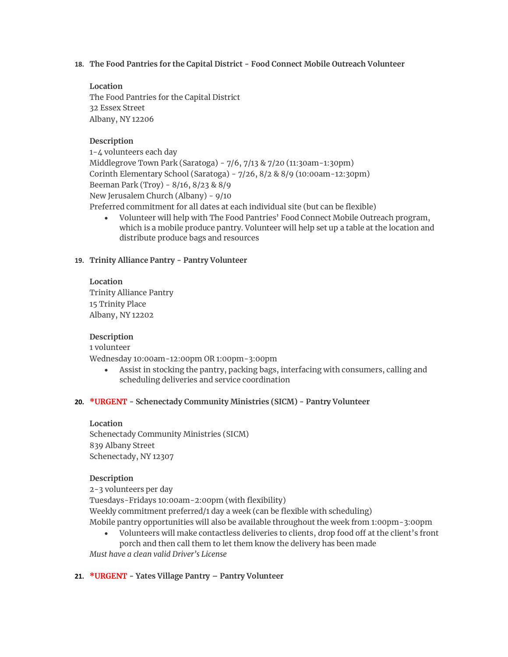**18. The Food Pantries for the Capital District - Food Connect Mobile Outreach Volunteer**

# **Location**

The Food Pantries for the Capital District 32 Essex Street Albany, NY 12206

# **Description**

1-4 volunteers each day Middlegrove Town Park (Saratoga) - 7/6, 7/13 & 7/20 (11:30am-1:30pm) Corinth Elementary School (Saratoga) - 7/26, 8/2 & 8/9 (10:00am-12:30pm) Beeman Park (Troy) - 8/16, 8/23 & 8/9 New Jerusalem Church (Albany) - 9/10 Preferred commitment for all dates at each individual site (but can be flexible)

• Volunteer will help with The Food Pantries' Food Connect Mobile Outreach program, which is a mobile produce pantry. Volunteer will help set up a table at the location and distribute produce bags and resources

# **19. Trinity Alliance Pantry - Pantry Volunteer**

# **Location**

Trinity Alliance Pantry 15 Trinity Place Albany, NY 12202

# **Description**

1 volunteer

Wednesday 10:00am-12:00pm OR 1:00pm-3:00pm

• Assist in stocking the pantry, packing bags, interfacing with consumers, calling and scheduling deliveries and service coordination

# **20. \*URGENT - Schenectady Community Ministries (SICM) - Pantry Volunteer**

## **Location**

Schenectady Community Ministries (SICM) 839 Albany Street Schenectady, NY 12307

# **Description**

2-3 volunteers per day Tuesdays-Fridays 10:00am-2:00pm (with flexibility) Weekly commitment preferred/1 day a week (can be flexible with scheduling) Mobile pantry opportunities will also be available throughout the week from 1:00pm-3:00pm

• Volunteers will make contactless deliveries to clients, drop food off at the client's front porch and then call them to let them know the delivery has been made

*Must have a clean valid Driver's License*

# **21. \*URGENT - Yates Village Pantry – Pantry Volunteer**